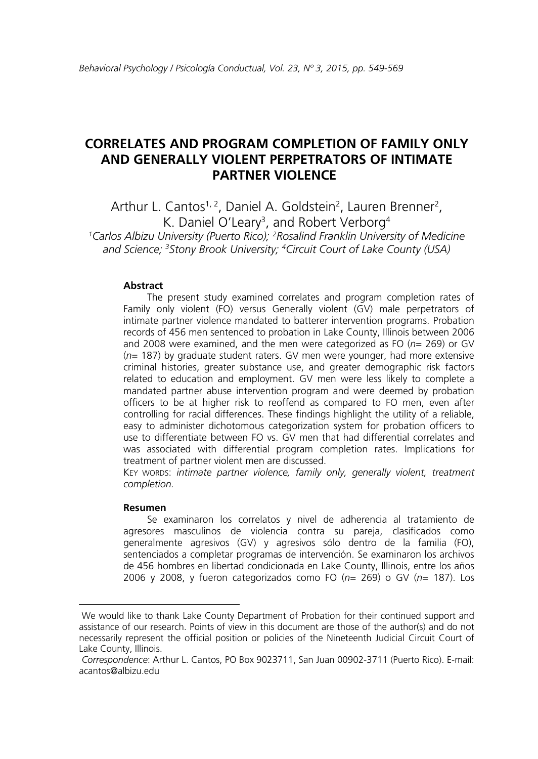# **CORRELATES AND PROGRAM COMPLETION OF FAMILY ONLY AND GENERALLY VIOLENT PERPETRATORS OF INTIMATE PARTNER VIOLENCE**

Arthur L. Cantos<sup>1, 2</sup>, Daniel A. Goldstein<sup>2</sup>, Lauren Brenner<sup>2</sup>, K. Daniel O'Leary<sup>3</sup>, and Robert Verborg<sup>4</sup> *1 Carlos Albizu University (Puerto Rico); 2 Rosalind Franklin University of Medicine and Science; 3 Stony Brook University; 4 Circuit Court of Lake County (USA)* 

#### **Abstract**

The present study examined correlates and program completion rates of Family only violent (FO) versus Generally violent (GV) male perpetrators of intimate partner violence mandated to batterer intervention programs. Probation records of 456 men sentenced to probation in Lake County, Illinois between 2006 and 2008 were examined, and the men were categorized as FO (*n*= 269) or GV (*n*= 187) by graduate student raters. GV men were younger, had more extensive criminal histories, greater substance use, and greater demographic risk factors related to education and employment. GV men were less likely to complete a mandated partner abuse intervention program and were deemed by probation officers to be at higher risk to reoffend as compared to FO men, even after controlling for racial differences. These findings highlight the utility of a reliable, easy to administer dichotomous categorization system for probation officers to use to differentiate between FO vs. GV men that had differential correlates and was associated with differential program completion rates. Implications for treatment of partner violent men are discussed.

KEY WORDS: *intimate partner violence, family only, generally violent, treatment completion.* 

#### **Resumen**

 $\overline{a}$ 

Se examinaron los correlatos y nivel de adherencia al tratamiento de agresores masculinos de violencia contra su pareja, clasificados como generalmente agresivos (GV) y agresivos sólo dentro de la familia (FO), sentenciados a completar programas de intervención. Se examinaron los archivos de 456 hombres en libertad condicionada en Lake County, Illinois, entre los años 2006 y 2008, y fueron categorizados como FO (*n*= 269) o GV (*n*= 187). Los

We would like to thank Lake County Department of Probation for their continued support and assistance of our research. Points of view in this document are those of the author(s) and do not necessarily represent the official position or policies of the Nineteenth Judicial Circuit Court of Lake County, Illinois.

*Correspondence*: Arthur L. Cantos, PO Box 9023711, San Juan 00902-3711 (Puerto Rico). E-mail: acantos@albizu.edu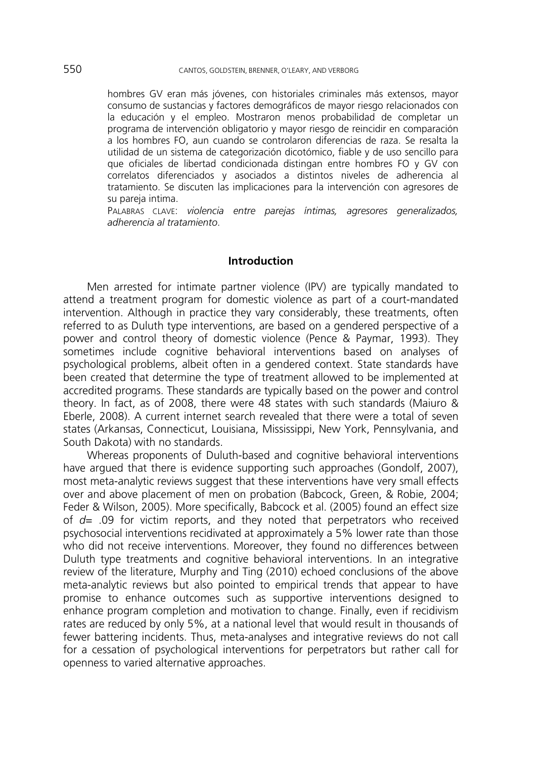hombres GV eran más jóvenes, con historiales criminales más extensos, mayor consumo de sustancias y factores demográficos de mayor riesgo relacionados con la educación y el empleo. Mostraron menos probabilidad de completar un programa de intervención obligatorio y mayor riesgo de reincidir en comparación a los hombres FO, aun cuando se controlaron diferencias de raza. Se resalta la utilidad de un sistema de categorización dicotómico, fiable y de uso sencillo para que oficiales de libertad condicionada distingan entre hombres FO y GV con correlatos diferenciados y asociados a distintos niveles de adherencia al tratamiento. Se discuten las implicaciones para la intervención con agresores de su pareja intima.

PALABRAS CLAVE: *violencia entre parejas íntimas, agresores generalizados, adherencia al tratamiento*.

## **Introduction**

Men arrested for intimate partner violence (IPV) are typically mandated to attend a treatment program for domestic violence as part of a court-mandated intervention. Although in practice they vary considerably, these treatments, often referred to as Duluth type interventions, are based on a gendered perspective of a power and control theory of domestic violence (Pence & Paymar, 1993). They sometimes include cognitive behavioral interventions based on analyses of psychological problems, albeit often in a gendered context. State standards have been created that determine the type of treatment allowed to be implemented at accredited programs. These standards are typically based on the power and control theory. In fact, as of 2008, there were 48 states with such standards (Maiuro & Eberle, 2008). A current internet search revealed that there were a total of seven states (Arkansas, Connecticut, Louisiana, Mississippi, New York, Pennsylvania, and South Dakota) with no standards.

Whereas proponents of Duluth-based and cognitive behavioral interventions have argued that there is evidence supporting such approaches (Gondolf, 2007), most meta-analytic reviews suggest that these interventions have very small effects over and above placement of men on probation (Babcock, Green, & Robie, 2004; Feder & Wilson, 2005). More specifically, Babcock et al. (2005) found an effect size of *d*= .09 for victim reports, and they noted that perpetrators who received psychosocial interventions recidivated at approximately a 5% lower rate than those who did not receive interventions. Moreover, they found no differences between Duluth type treatments and cognitive behavioral interventions. In an integrative review of the literature, Murphy and Ting (2010) echoed conclusions of the above meta-analytic reviews but also pointed to empirical trends that appear to have promise to enhance outcomes such as supportive interventions designed to enhance program completion and motivation to change. Finally, even if recidivism rates are reduced by only 5%, at a national level that would result in thousands of fewer battering incidents. Thus, meta-analyses and integrative reviews do not call for a cessation of psychological interventions for perpetrators but rather call for openness to varied alternative approaches.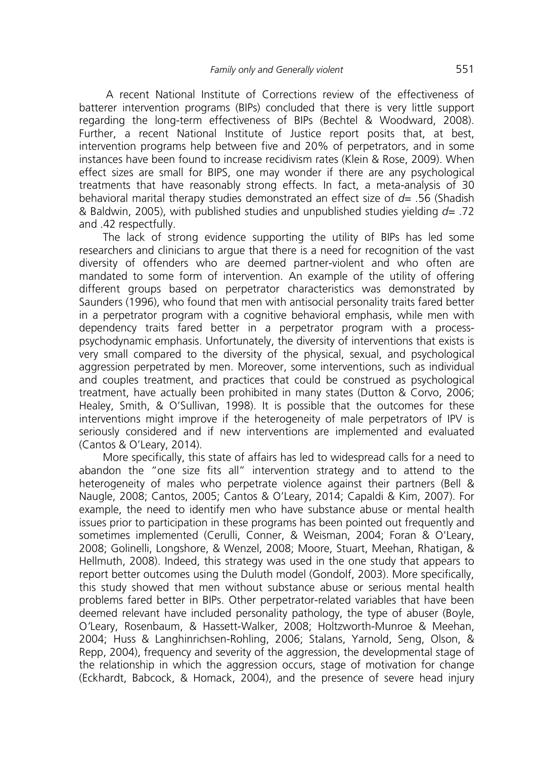A recent National Institute of Corrections review of the effectiveness of batterer intervention programs (BIPs) concluded that there is very little support regarding the long-term effectiveness of BIPs (Bechtel & Woodward, 2008). Further, a recent National Institute of Justice report posits that, at best, intervention programs help between five and 20% of perpetrators, and in some instances have been found to increase recidivism rates (Klein & Rose, 2009). When effect sizes are small for BIPS, one may wonder if there are any psychological treatments that have reasonably strong effects. In fact, a meta-analysis of 30 behavioral marital therapy studies demonstrated an effect size of *d*= .56 (Shadish & Baldwin, 2005), with published studies and unpublished studies yielding *d*= .72 and .42 respectfully.

The lack of strong evidence supporting the utility of BIPs has led some researchers and clinicians to argue that there is a need for recognition of the vast diversity of offenders who are deemed partner-violent and who often are mandated to some form of intervention. An example of the utility of offering different groups based on perpetrator characteristics was demonstrated by Saunders (1996), who found that men with antisocial personality traits fared better in a perpetrator program with a cognitive behavioral emphasis, while men with dependency traits fared better in a perpetrator program with a processpsychodynamic emphasis. Unfortunately, the diversity of interventions that exists is very small compared to the diversity of the physical, sexual, and psychological aggression perpetrated by men. Moreover, some interventions, such as individual and couples treatment, and practices that could be construed as psychological treatment, have actually been prohibited in many states (Dutton & Corvo, 2006; Healey, Smith, & O'Sullivan, 1998). It is possible that the outcomes for these interventions might improve if the heterogeneity of male perpetrators of IPV is seriously considered and if new interventions are implemented and evaluated (Cantos & O'Leary, 2014).

More specifically, this state of affairs has led to widespread calls for a need to abandon the "one size fits all" intervention strategy and to attend to the heterogeneity of males who perpetrate violence against their partners (Bell & Naugle, 2008; Cantos, 2005; Cantos & O'Leary, 2014; Capaldi & Kim, 2007). For example, the need to identify men who have substance abuse or mental health issues prior to participation in these programs has been pointed out frequently and sometimes implemented (Cerulli, Conner, & Weisman, 2004; Foran & O'Leary, 2008; Golinelli, Longshore, & Wenzel, 2008; Moore, Stuart, Meehan, Rhatigan, & Hellmuth, 2008). Indeed, this strategy was used in the one study that appears to report better outcomes using the Duluth model (Gondolf, 2003). More specifically, this study showed that men without substance abuse or serious mental health problems fared better in BIPs. Other perpetrator-related variables that have been deemed relevant have included personality pathology, the type of abuser (Boyle, O*'*Leary, Rosenbaum, & Hassett-Walker, 2008; Holtzworth-Munroe & Meehan, 2004; Huss & Langhinrichsen-Rohling, 2006; Stalans, Yarnold, Seng, Olson, & Repp, 2004), frequency and severity of the aggression, the developmental stage of the relationship in which the aggression occurs, stage of motivation for change (Eckhardt, Babcock, & Homack, 2004), and the presence of severe head injury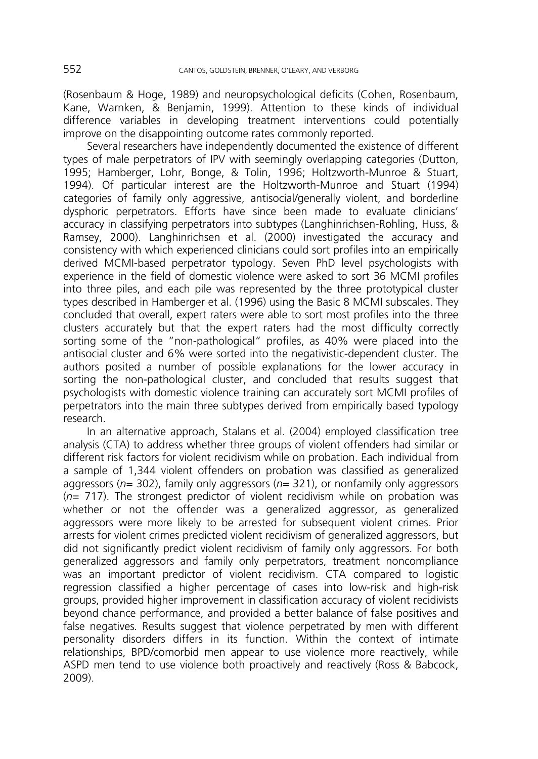(Rosenbaum & Hoge, 1989) and neuropsychological deficits (Cohen, Rosenbaum, Kane, Warnken, & Benjamin, 1999). Attention to these kinds of individual difference variables in developing treatment interventions could potentially improve on the disappointing outcome rates commonly reported.

Several researchers have independently documented the existence of different types of male perpetrators of IPV with seemingly overlapping categories (Dutton, 1995; Hamberger, Lohr, Bonge, & Tolin, 1996; Holtzworth-Munroe & Stuart, 1994). Of particular interest are the Holtzworth-Munroe and Stuart (1994) categories of family only aggressive, antisocial/generally violent, and borderline dysphoric perpetrators. Efforts have since been made to evaluate clinicians' accuracy in classifying perpetrators into subtypes (Langhinrichsen-Rohling, Huss, & Ramsey, 2000). Langhinrichsen et al. (2000) investigated the accuracy and consistency with which experienced clinicians could sort profiles into an empirically derived MCMI-based perpetrator typology. Seven PhD level psychologists with experience in the field of domestic violence were asked to sort 36 MCMI profiles into three piles, and each pile was represented by the three prototypical cluster types described in Hamberger et al. (1996) using the Basic 8 MCMI subscales. They concluded that overall, expert raters were able to sort most profiles into the three clusters accurately but that the expert raters had the most difficulty correctly sorting some of the "non-pathological" profiles, as 40% were placed into the antisocial cluster and 6% were sorted into the negativistic-dependent cluster. The authors posited a number of possible explanations for the lower accuracy in sorting the non-pathological cluster, and concluded that results suggest that psychologists with domestic violence training can accurately sort MCMI profiles of perpetrators into the main three subtypes derived from empirically based typology research.

In an alternative approach, Stalans et al. (2004) employed classification tree analysis (CTA) to address whether three groups of violent offenders had similar or different risk factors for violent recidivism while on probation. Each individual from a sample of 1,344 violent offenders on probation was classified as generalized aggressors (*n*= 302), family only aggressors (*n*= 321), or nonfamily only aggressors (*n*= 717). The strongest predictor of violent recidivism while on probation was whether or not the offender was a generalized aggressor, as generalized aggressors were more likely to be arrested for subsequent violent crimes. Prior arrests for violent crimes predicted violent recidivism of generalized aggressors, but did not significantly predict violent recidivism of family only aggressors. For both generalized aggressors and family only perpetrators, treatment noncompliance was an important predictor of violent recidivism. CTA compared to logistic regression classified a higher percentage of cases into low-risk and high-risk groups, provided higher improvement in classification accuracy of violent recidivists beyond chance performance, and provided a better balance of false positives and false negatives*.* Results suggest that violence perpetrated by men with different personality disorders differs in its function. Within the context of intimate relationships, BPD/comorbid men appear to use violence more reactively, while ASPD men tend to use violence both proactively and reactively (Ross & Babcock, 2009).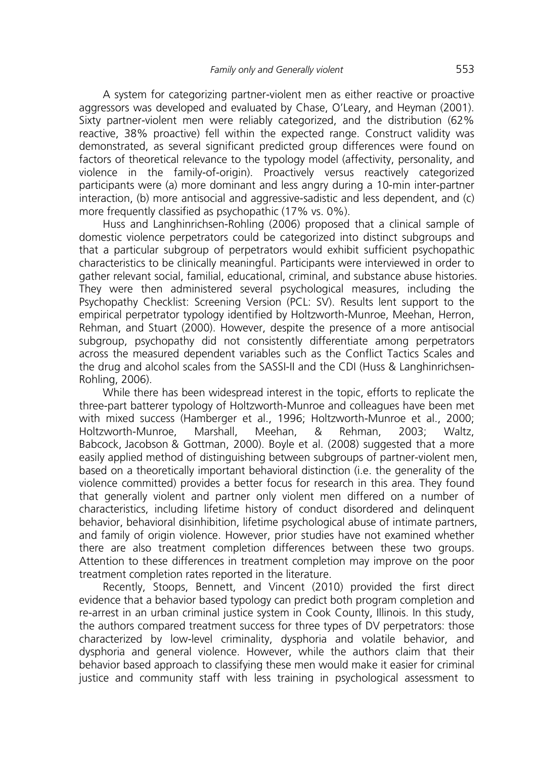A system for categorizing partner-violent men as either reactive or proactive aggressors was developed and evaluated by Chase, O'Leary, and Heyman (2001). Sixty partner-violent men were reliably categorized, and the distribution (62% reactive, 38% proactive) fell within the expected range. Construct validity was demonstrated, as several significant predicted group differences were found on factors of theoretical relevance to the typology model (affectivity, personality, and violence in the family-of-origin). Proactively versus reactively categorized participants were (a) more dominant and less angry during a 10-min inter-partner interaction, (b) more antisocial and aggressive-sadistic and less dependent, and (c) more frequently classified as psychopathic (17% vs. 0%).

Huss and Langhinrichsen-Rohling (2006) proposed that a clinical sample of domestic violence perpetrators could be categorized into distinct subgroups and that a particular subgroup of perpetrators would exhibit sufficient psychopathic characteristics to be clinically meaningful. Participants were interviewed in order to gather relevant social, familial, educational, criminal, and substance abuse histories. They were then administered several psychological measures, including the Psychopathy Checklist: Screening Version (PCL: SV). Results lent support to the empirical perpetrator typology identified by Holtzworth-Munroe, Meehan, Herron, Rehman, and Stuart (2000). However, despite the presence of a more antisocial subgroup, psychopathy did not consistently differentiate among perpetrators across the measured dependent variables such as the Conflict Tactics Scales and the drug and alcohol scales from the SASSI-II and the CDI (Huss & Langhinrichsen-Rohling, 2006).

While there has been widespread interest in the topic, efforts to replicate the three-part batterer typology of Holtzworth-Munroe and colleagues have been met with mixed success (Hamberger et al., 1996; Holtzworth-Munroe et al., 2000; Holtzworth-Munroe, Marshall, Meehan, & Rehman, 2003; Waltz, Babcock, Jacobson & Gottman, 2000). Boyle et al. (2008) suggested that a more easily applied method of distinguishing between subgroups of partner-violent men, based on a theoretically important behavioral distinction (i.e. the generality of the violence committed) provides a better focus for research in this area. They found that generally violent and partner only violent men differed on a number of characteristics, including lifetime history of conduct disordered and delinquent behavior, behavioral disinhibition, lifetime psychological abuse of intimate partners, and family of origin violence. However, prior studies have not examined whether there are also treatment completion differences between these two groups. Attention to these differences in treatment completion may improve on the poor treatment completion rates reported in the literature.

Recently, Stoops, Bennett, and Vincent (2010) provided the first direct evidence that a behavior based typology can predict both program completion and re-arrest in an urban criminal justice system in Cook County, Illinois. In this study, the authors compared treatment success for three types of DV perpetrators: those characterized by low-level criminality, dysphoria and volatile behavior, and dysphoria and general violence. However, while the authors claim that their behavior based approach to classifying these men would make it easier for criminal justice and community staff with less training in psychological assessment to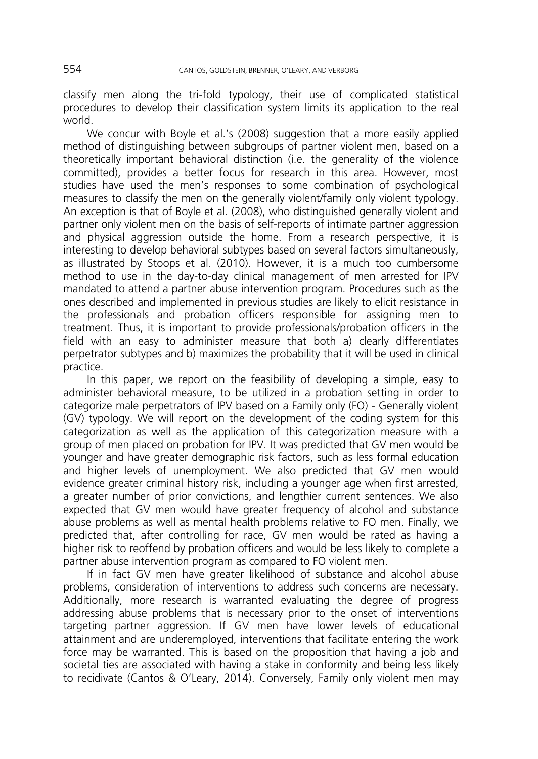classify men along the tri-fold typology, their use of complicated statistical procedures to develop their classification system limits its application to the real world.

We concur with Boyle et al.'s (2008) suggestion that a more easily applied method of distinguishing between subgroups of partner violent men, based on a theoretically important behavioral distinction (i.e. the generality of the violence committed), provides a better focus for research in this area. However, most studies have used the men's responses to some combination of psychological measures to classify the men on the generally violent/family only violent typology. An exception is that of Boyle et al. (2008), who distinguished generally violent and partner only violent men on the basis of self-reports of intimate partner aggression and physical aggression outside the home. From a research perspective, it is interesting to develop behavioral subtypes based on several factors simultaneously, as illustrated by Stoops et al. (2010). However, it is a much too cumbersome method to use in the day-to-day clinical management of men arrested for IPV mandated to attend a partner abuse intervention program. Procedures such as the ones described and implemented in previous studies are likely to elicit resistance in the professionals and probation officers responsible for assigning men to treatment. Thus, it is important to provide professionals/probation officers in the field with an easy to administer measure that both a) clearly differentiates perpetrator subtypes and b) maximizes the probability that it will be used in clinical practice.

In this paper, we report on the feasibility of developing a simple, easy to administer behavioral measure, to be utilized in a probation setting in order to categorize male perpetrators of IPV based on a Family only (FO) - Generally violent (GV) typology. We will report on the development of the coding system for this categorization as well as the application of this categorization measure with a group of men placed on probation for IPV. It was predicted that GV men would be younger and have greater demographic risk factors, such as less formal education and higher levels of unemployment. We also predicted that GV men would evidence greater criminal history risk, including a younger age when first arrested, a greater number of prior convictions, and lengthier current sentences. We also expected that GV men would have greater frequency of alcohol and substance abuse problems as well as mental health problems relative to FO men. Finally, we predicted that, after controlling for race, GV men would be rated as having a higher risk to reoffend by probation officers and would be less likely to complete a partner abuse intervention program as compared to FO violent men.

If in fact GV men have greater likelihood of substance and alcohol abuse problems, consideration of interventions to address such concerns are necessary. Additionally, more research is warranted evaluating the degree of progress addressing abuse problems that is necessary prior to the onset of interventions targeting partner aggression. If GV men have lower levels of educational attainment and are underemployed, interventions that facilitate entering the work force may be warranted. This is based on the proposition that having a job and societal ties are associated with having a stake in conformity and being less likely to recidivate (Cantos & O'Leary, 2014). Conversely, Family only violent men may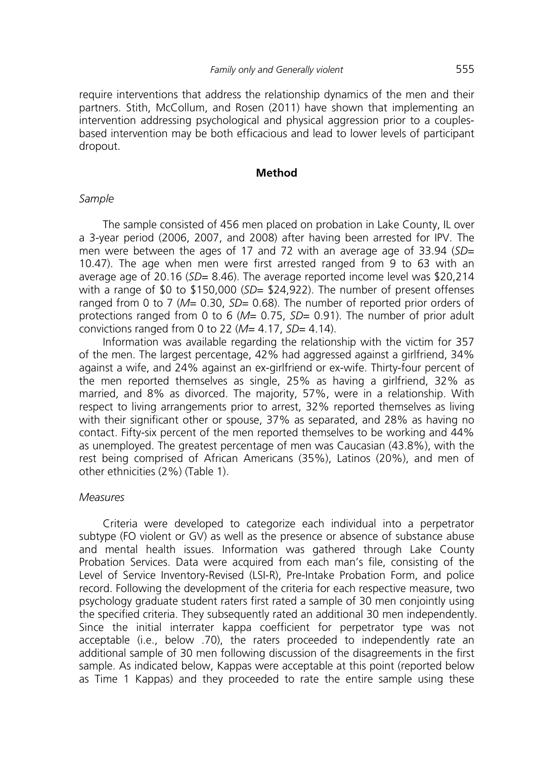require interventions that address the relationship dynamics of the men and their partners. Stith, McCollum, and Rosen (2011) have shown that implementing an intervention addressing psychological and physical aggression prior to a couplesbased intervention may be both efficacious and lead to lower levels of participant dropout.

#### **Method**

### *Sample*

The sample consisted of 456 men placed on probation in Lake County, IL over a 3-year period (2006, 2007, and 2008) after having been arrested for IPV. The men were between the ages of 17 and 72 with an average age of 33.94 (*SD*= 10.47). The age when men were first arrested ranged from 9 to 63 with an average age of 20.16 (*SD*= 8.46). The average reported income level was \$20,214 with a range of \$0 to \$150,000 (*SD=* \$24,922). The number of present offenses ranged from 0 to 7 (M= 0.30, SD= 0.68). The number of reported prior orders of protections ranged from 0 to 6 (*M*= 0.75, *SD*= 0.91). The number of prior adult convictions ranged from 0 to 22 (*M*= 4.17, *SD*= 4.14).

Information was available regarding the relationship with the victim for 357 of the men. The largest percentage, 42% had aggressed against a girlfriend, 34% against a wife, and 24% against an ex-girlfriend or ex-wife. Thirty-four percent of the men reported themselves as single, 25% as having a girlfriend, 32% as married, and 8% as divorced. The majority, 57%, were in a relationship. With respect to living arrangements prior to arrest, 32% reported themselves as living with their significant other or spouse, 37% as separated, and 28% as having no contact. Fifty-six percent of the men reported themselves to be working and 44% as unemployed. The greatest percentage of men was Caucasian (43.8%), with the rest being comprised of African Americans (35%), Latinos (20%), and men of other ethnicities (2%) (Table 1).

## *Measures*

Criteria were developed to categorize each individual into a perpetrator subtype (FO violent or GV) as well as the presence or absence of substance abuse and mental health issues. Information was gathered through Lake County Probation Services. Data were acquired from each man's file, consisting of the Level of Service Inventory-Revised (LSI-R), Pre-Intake Probation Form, and police record. Following the development of the criteria for each respective measure, two psychology graduate student raters first rated a sample of 30 men conjointly using the specified criteria. They subsequently rated an additional 30 men independently. Since the initial interrater kappa coefficient for perpetrator type was not acceptable (i.e., below .70), the raters proceeded to independently rate an additional sample of 30 men following discussion of the disagreements in the first sample. As indicated below, Kappas were acceptable at this point (reported below as Time 1 Kappas) and they proceeded to rate the entire sample using these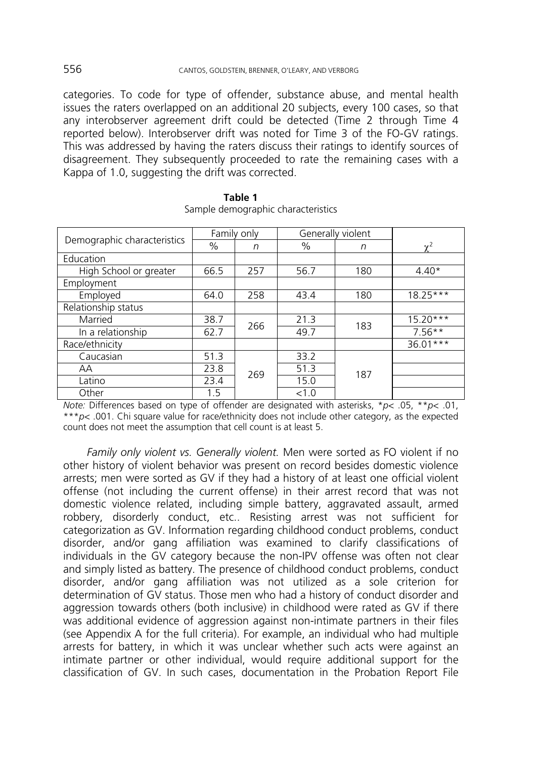categories. To code for type of offender, substance abuse, and mental health issues the raters overlapped on an additional 20 subjects, every 100 cases, so that any interobserver agreement drift could be detected (Time 2 through Time 4 reported below). Interobserver drift was noted for Time 3 of the FO-GV ratings. This was addressed by having the raters discuss their ratings to identify sources of disagreement. They subsequently proceeded to rate the remaining cases with a Kappa of 1.0, suggesting the drift was corrected.

|                             | Family only   |     | Generally violent |     |            |
|-----------------------------|---------------|-----|-------------------|-----|------------|
| Demographic characteristics | $\frac{0}{0}$ | n   | $\%$              | n   | $\chi^2$   |
| Education                   |               |     |                   |     |            |
| High School or greater      | 66.5          | 257 | 56.7              | 180 | $4.40*$    |
| Employment                  |               |     |                   |     |            |
| Employed                    | 64.0          | 258 | 43.4              | 180 | $18.25***$ |
| Relationship status         |               |     |                   |     |            |
| Married                     | 38.7          | 266 | 21.3              | 183 | $15.20***$ |
| In a relationship           | 62.7          |     | 49.7              |     | $7.56**$   |
| Race/ethnicity              |               |     |                   |     | 36.01***   |
| Caucasian                   | 51.3          |     | 33.2              |     |            |
| AA                          | 23.8          | 269 | 51.3              | 187 |            |
| Latino                      | 23.4          |     | 15.0              |     |            |
| Other                       | 1.5           |     | < 1.0             |     |            |

| Table 1 |                                    |  |
|---------|------------------------------------|--|
|         | Sample demographic characteristics |  |

*Note:* Differences based on type of offender are designated with asterisks, \**p*< .05, \*\**p*< .01, \*\*\**p*< .001. Chi square value for race/ethnicity does not include other category, as the expected count does not meet the assumption that cell count is at least 5.

*Family only violent vs. Generally violent.* Men were sorted as FO violent if no other history of violent behavior was present on record besides domestic violence arrests; men were sorted as GV if they had a history of at least one official violent offense (not including the current offense) in their arrest record that was not domestic violence related, including simple battery, aggravated assault, armed robbery, disorderly conduct, etc.. Resisting arrest was not sufficient for categorization as GV. Information regarding childhood conduct problems, conduct disorder, and/or gang affiliation was examined to clarify classifications of individuals in the GV category because the non-IPV offense was often not clear and simply listed as battery. The presence of childhood conduct problems, conduct disorder, and/or gang affiliation was not utilized as a sole criterion for determination of GV status. Those men who had a history of conduct disorder and aggression towards others (both inclusive) in childhood were rated as GV if there was additional evidence of aggression against non-intimate partners in their files (see Appendix A for the full criteria). For example, an individual who had multiple arrests for battery, in which it was unclear whether such acts were against an intimate partner or other individual, would require additional support for the classification of GV. In such cases, documentation in the Probation Report File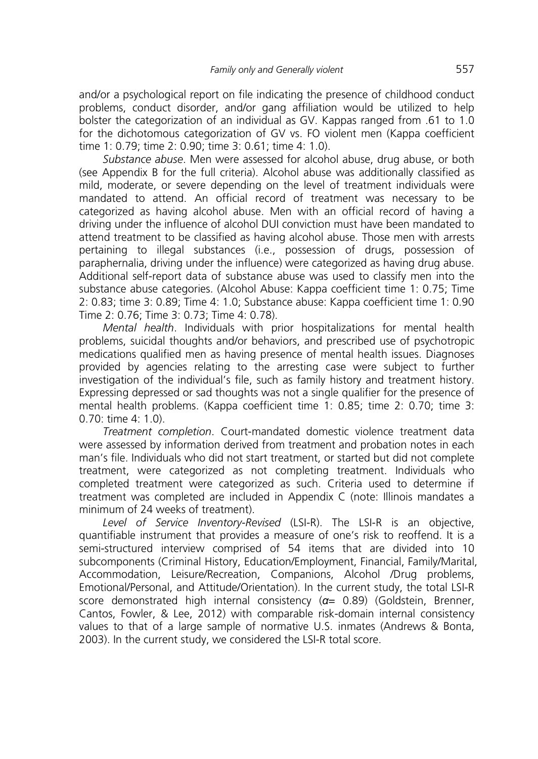and/or a psychological report on file indicating the presence of childhood conduct problems, conduct disorder, and/or gang affiliation would be utilized to help bolster the categorization of an individual as GV. Kappas ranged from .61 to 1.0 for the dichotomous categorization of GV vs. FO violent men (Kappa coefficient time 1: 0.79; time 2: 0.90; time 3: 0.61; time 4: 1.0).

*Substance abuse*. Men were assessed for alcohol abuse, drug abuse, or both (see Appendix B for the full criteria). Alcohol abuse was additionally classified as mild, moderate, or severe depending on the level of treatment individuals were mandated to attend. An official record of treatment was necessary to be categorized as having alcohol abuse. Men with an official record of having a driving under the influence of alcohol DUI conviction must have been mandated to attend treatment to be classified as having alcohol abuse. Those men with arrests pertaining to illegal substances (i.e., possession of drugs, possession of paraphernalia, driving under the influence) were categorized as having drug abuse. Additional self-report data of substance abuse was used to classify men into the substance abuse categories. (Alcohol Abuse: Kappa coefficient time 1: 0.75; Time 2: 0.83; time 3: 0.89; Time 4: 1.0; Substance abuse: Kappa coefficient time 1: 0.90 Time 2: 0.76; Time 3: 0.73; Time 4: 0.78).

*Mental health*. Individuals with prior hospitalizations for mental health problems, suicidal thoughts and/or behaviors, and prescribed use of psychotropic medications qualified men as having presence of mental health issues. Diagnoses provided by agencies relating to the arresting case were subject to further investigation of the individual's file, such as family history and treatment history. Expressing depressed or sad thoughts was not a single qualifier for the presence of mental health problems. (Kappa coefficient time 1: 0.85; time 2: 0.70; time 3: 0.70: time 4: 1.0).

*Treatment completion*. Court-mandated domestic violence treatment data were assessed by information derived from treatment and probation notes in each man's file. Individuals who did not start treatment, or started but did not complete treatment, were categorized as not completing treatment. Individuals who completed treatment were categorized as such. Criteria used to determine if treatment was completed are included in Appendix C (note: Illinois mandates a minimum of 24 weeks of treatment).

*Level of Service Inventory-Revised* (LSI-R). The LSI-R is an objective, quantifiable instrument that provides a measure of one's risk to reoffend. It is a semi-structured interview comprised of 54 items that are divided into 10 subcomponents (Criminal History, Education/Employment, Financial, Family/Marital, Accommodation, Leisure/Recreation, Companions, Alcohol /Drug problems, Emotional/Personal, and Attitude/Orientation). In the current study, the total LSI-R score demonstrated high internal consistency (*α*= 0.89) (Goldstein, Brenner, Cantos, Fowler, & Lee, 2012) with comparable risk-domain internal consistency values to that of a large sample of normative U.S. inmates (Andrews & Bonta, 2003). In the current study, we considered the LSI-R total score.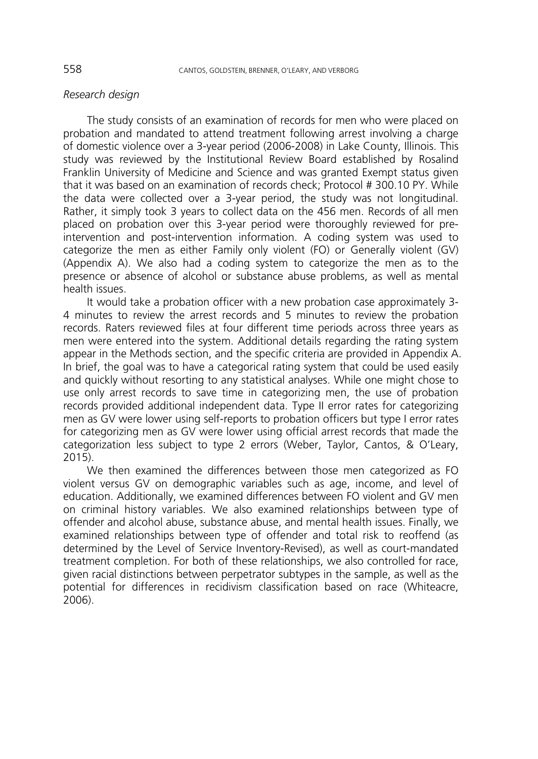#### *Research design*

The study consists of an examination of records for men who were placed on probation and mandated to attend treatment following arrest involving a charge of domestic violence over a 3-year period (2006-2008) in Lake County, Illinois. This study was reviewed by the Institutional Review Board established by Rosalind Franklin University of Medicine and Science and was granted Exempt status given that it was based on an examination of records check; Protocol # 300.10 PY. While the data were collected over a 3-year period, the study was not longitudinal. Rather, it simply took 3 years to collect data on the 456 men. Records of all men placed on probation over this 3-year period were thoroughly reviewed for preintervention and post-intervention information. A coding system was used to categorize the men as either Family only violent (FO) or Generally violent (GV) (Appendix A). We also had a coding system to categorize the men as to the presence or absence of alcohol or substance abuse problems, as well as mental health issues.

It would take a probation officer with a new probation case approximately 3- 4 minutes to review the arrest records and 5 minutes to review the probation records. Raters reviewed files at four different time periods across three years as men were entered into the system. Additional details regarding the rating system appear in the Methods section, and the specific criteria are provided in Appendix A. In brief, the goal was to have a categorical rating system that could be used easily and quickly without resorting to any statistical analyses. While one might chose to use only arrest records to save time in categorizing men, the use of probation records provided additional independent data. Type II error rates for categorizing men as GV were lower using self-reports to probation officers but type I error rates for categorizing men as GV were lower using official arrest records that made the categorization less subject to type 2 errors (Weber, Taylor, Cantos, & O'Leary, 2015).

We then examined the differences between those men categorized as FO violent versus GV on demographic variables such as age, income, and level of education. Additionally, we examined differences between FO violent and GV men on criminal history variables. We also examined relationships between type of offender and alcohol abuse, substance abuse, and mental health issues. Finally, we examined relationships between type of offender and total risk to reoffend (as determined by the Level of Service Inventory-Revised), as well as court-mandated treatment completion. For both of these relationships, we also controlled for race, given racial distinctions between perpetrator subtypes in the sample, as well as the potential for differences in recidivism classification based on race (Whiteacre, 2006).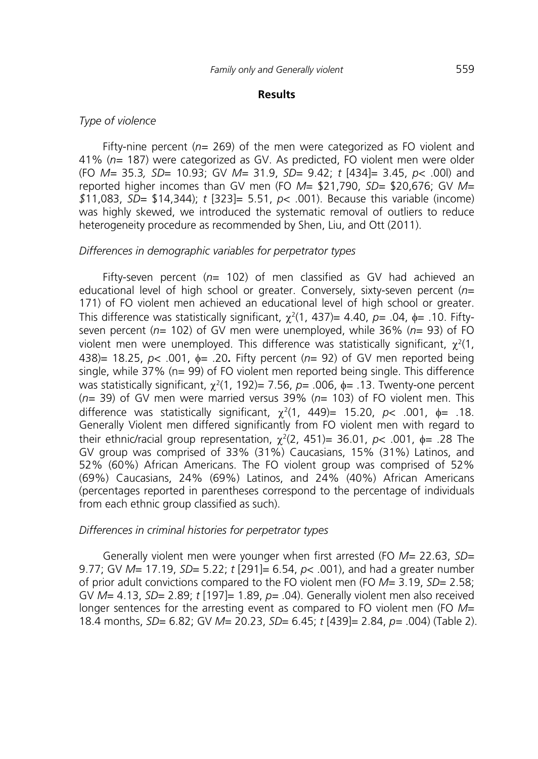## **Results**

#### *Type of violence*

Fifty-nine percent (*n*= 269) of the men were categorized as FO violent and 41% (*n*= 187) were categorized as GV. As predicted, FO violent men were older (FO *M=* 35.3*, SD*= 10.93; GV *M=* 31.9, *SD*= 9.42; *t* [434]= 3.45, *p*< .00l) and reported higher incomes than GV men (FO *M*= \$21,790, *SD=* \$20,676; GV *M= \$*11,083, *SD*= \$14,344); *t* [323]= 5.51, *p*< .001). Because this variable (income) was highly skewed, we introduced the systematic removal of outliers to reduce heterogeneity procedure as recommended by Shen, Liu, and Ott (2011).

## *Differences in demographic variables for perpetrator types*

Fifty-seven percent (*n*= 102) of men classified as GV had achieved an educational level of high school or greater. Conversely, sixty-seven percent (*n*= 171) of FO violent men achieved an educational level of high school or greater. This difference was statistically significant, χ<sup>2</sup> (1, 437)= 4.40, *p=* .04, φ= .10. Fiftyseven percent (*n*= 102) of GV men were unemployed, while 36% (*n*= 93) of FO violent men were unemployed. This difference was statistically significant,  $\chi^2(1)$ , 438)= 18.25, *p*< .001, φ*=* .20**.** Fifty percent (*n*= 92) of GV men reported being single, while 37% (n= 99) of FO violent men reported being single. This difference was statistically significant,  $\chi^2(1, 192)$ = 7.56, *p*= .006, φ= .13. Twenty-one percent (*n=* 39) of GV men were married versus 39% (*n*= 103) of FO violent men. This difference was statistically significant, χ<sup>2</sup> (1, 449)= 15.20, *p*< .001, φ*=* .18. Generally Violent men differed significantly from FO violent men with regard to their ethnic/racial group representation,  $\chi^2(2, 451)$ = 36.01,  $p$ < .001,  $\phi$ = .28 The GV group was comprised of 33% (31%) Caucasians, 15% (31%) Latinos, and 52% (60%) African Americans. The FO violent group was comprised of 52% (69%) Caucasians, 24% (69%) Latinos, and 24% (40%) African Americans (percentages reported in parentheses correspond to the percentage of individuals from each ethnic group classified as such).

#### *Differences in criminal histories for perpetrator types*

Generally violent men were younger when first arrested (FO *M=* 22.63, *SD=* 9.77; GV *M*= 17.19, *SD*= 5.22; *t* [291]= 6.54, *p*< .001), and had a greater number of prior adult convictions compared to the FO violent men (FO *M*= 3.19, *SD*= 2.58; GV *M*= 4.13, *SD*= 2.89; *t* [197]= 1.89, *p=* .04). Generally violent men also received longer sentences for the arresting event as compared to FO violent men (FO *M*= 18.4 months, *SD*= 6.82; GV *M*= 20.23, *SD*= 6.45; *t* [439]= 2.84, *p=* .004) (Table 2).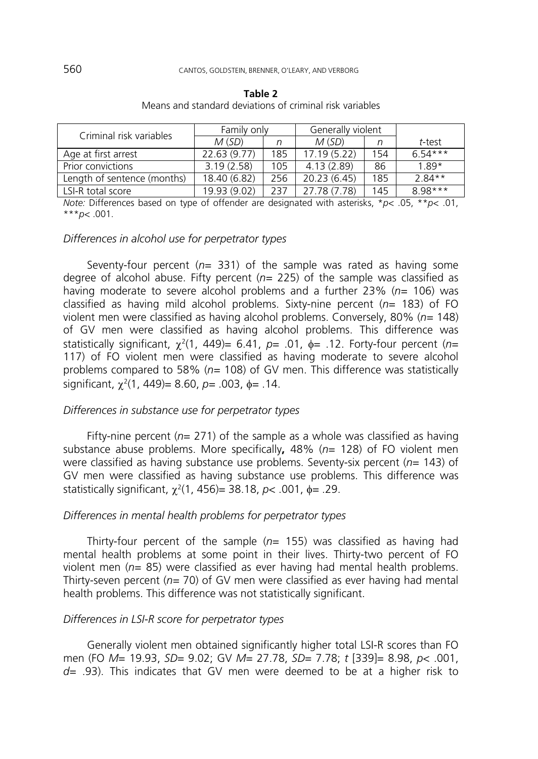| Criminal risk variables     | Family only  |     | Generally violent |     |           |
|-----------------------------|--------------|-----|-------------------|-----|-----------|
|                             | M(SD)        | n   | M(SD)             |     | t-test    |
| Age at first arrest         | 22.63 (9.77) | 185 | 17.19 (5.22)      | 154 | $6.54***$ |
| Prior convictions           | 3.19(2.58)   | 105 | 4.13(2.89)        | 86  | $1.89*$   |
| Length of sentence (months) | 18.40 (6.82) | 256 | 20.23 (6.45)      | 185 | $2.84**$  |
| LSI-R total score           | 19.93 (9.02) | 237 | 27.78 (7.78)      | 145 | $8.98***$ |

| Table 2 |  |  |  |                                                          |  |
|---------|--|--|--|----------------------------------------------------------|--|
|         |  |  |  | Means and standard deviations of criminal risk variables |  |

*Note:* Differences based on type of offender are designated with asterisks, \**p*< .05, \*\**p*< .01, \*\*\**p*< .001.

# *Differences in alcohol use for perpetrator types*

Seventy-four percent (*n*= 331) of the sample was rated as having some degree of alcohol abuse. Fifty percent (*n=* 225) of the sample was classified as having moderate to severe alcohol problems and a further 23% (*n*= 106) was classified as having mild alcohol problems. Sixty-nine percent (*n*= 183) of FO violent men were classified as having alcohol problems. Conversely, 80% (*n=* 148) of GV men were classified as having alcohol problems. This difference was statistically significant, χ<sup>2</sup> (1, 449)= 6.41, *p*= .01, φ= .12. Forty-four percent (*n*= 117) of FO violent men were classified as having moderate to severe alcohol problems compared to 58% (*n=* 108) of GV men. This difference was statistically significant, χ<sup>2</sup> (1, 449)= 8.60, *p=* .003, φ*=* .14.

#### *Differences in substance use for perpetrator types*

Fifty-nine percent ( $n=$  271) of the sample as a whole was classified as having substance abuse problems. More specifically**,** 48% (*n*= 128) of FO violent men were classified as having substance use problems. Seventy-six percent (*n*= 143) of GV men were classified as having substance use problems. This difference was statistically significant, χ<sup>2</sup> (1, 456)= 38.18, *p*< .001, φ*=* .29.

## *Differences in mental health problems for perpetrator types*

Thirty-four percent of the sample (*n*= 155) was classified as having had mental health problems at some point in their lives. Thirty-two percent of FO violent men (*n*= 85) were classified as ever having had mental health problems. Thirty-seven percent (*n=* 70) of GV men were classified as ever having had mental health problems. This difference was not statistically significant.

#### *Differences in LSI-R score for perpetrator types*

Generally violent men obtained significantly higher total LSI-R scores than FO men (FO *M*= 19.93, *SD*= 9.02; GV *M*= 27.78, *SD*= 7.78; *t* [339]= 8.98, *p*< .001, *d=* .93). This indicates that GV men were deemed to be at a higher risk to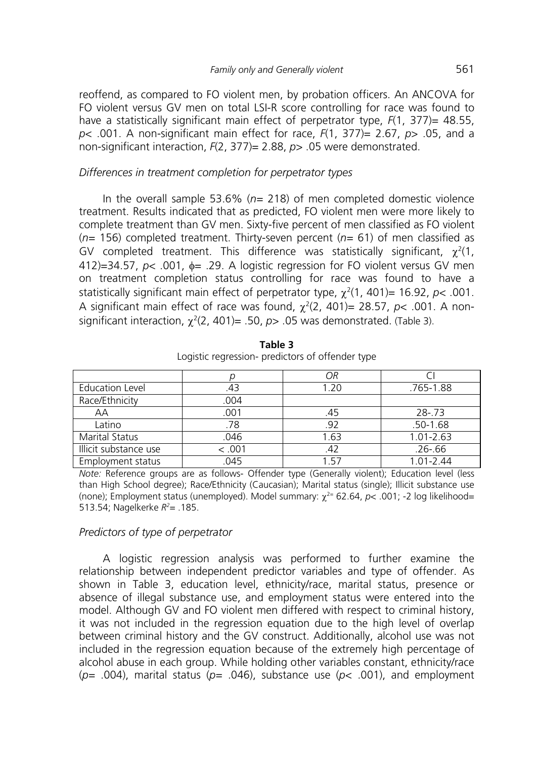reoffend, as compared to FO violent men, by probation officers. An ANCOVA for FO violent versus GV men on total LSI-R score controlling for race was found to have a statistically significant main effect of perpetrator type, *F*(1, 377)= 48.55, *p*< .001. A non-significant main effect for race, *F*(1, 377)= 2.67, *p*> .05, and a non-significant interaction, *F*(2, 377)= 2.88, *p*> .05 were demonstrated.

## *Differences in treatment completion for perpetrator types*

In the overall sample 53.6% (*n=* 218) of men completed domestic violence treatment. Results indicated that as predicted, FO violent men were more likely to complete treatment than GV men. Sixty-five percent of men classified as FO violent (*n=* 156) completed treatment. Thirty-seven percent (*n=* 61) of men classified as GV completed treatment. This difference was statistically significant,  $\chi^2(1)$ , 412)=34.57, *p*< .001, φ= .29. A logistic regression for FO violent versus GV men on treatment completion status controlling for race was found to have a statistically significant main effect of perpetrator type,  $\chi^2(1, 401)$ = 16.92, *p<* .001. A significant main effect of race was found,  $\chi^2$ (2, 401)= 28.57, *p*< .001. A nonsignificant interaction,  $\chi^2(2, 401)$ = .50,  $p$ > .05 was demonstrated. (Table 3).

|                        |        | ОR   |               |
|------------------------|--------|------|---------------|
| <b>Education Level</b> | .43    | 1.20 | .765-1.88     |
| Race/Ethnicity         | .004   |      |               |
| ΑA                     | .001   | .45  | $28 - 73$     |
| Latino                 | .78    | .92  | $.50 - 1.68$  |
| <b>Marital Status</b>  | .046   | 1.63 | $1.01 - 2.63$ |
| Illicit substance use  | < .001 | .42  | $.26 - .66$   |
| Employment status      | .045   | 157  | 1 01-2 44     |

**Table 3**  Logistic regression- predictors of offender type

*Note:* Reference groups are as follows- Offender type (Generally violent); Education level (less than High School degree); Race/Ethnicity (Caucasian); Marital status (single); Illicit substance use (none); Employment status (unemployed). Model summary: χ2= 62.64, *p*< .001; -2 log likelihood= 513.54; Nagelkerke *R2* = .185.

# *Predictors of type of perpetrator*

A logistic regression analysis was performed to further examine the relationship between independent predictor variables and type of offender. As shown in Table 3, education level, ethnicity/race, marital status, presence or absence of illegal substance use, and employment status were entered into the model. Although GV and FO violent men differed with respect to criminal history, it was not included in the regression equation due to the high level of overlap between criminal history and the GV construct. Additionally, alcohol use was not included in the regression equation because of the extremely high percentage of alcohol abuse in each group. While holding other variables constant, ethnicity/race (*p=* .004), marital status (*p=* .046), substance use (*p*< .001), and employment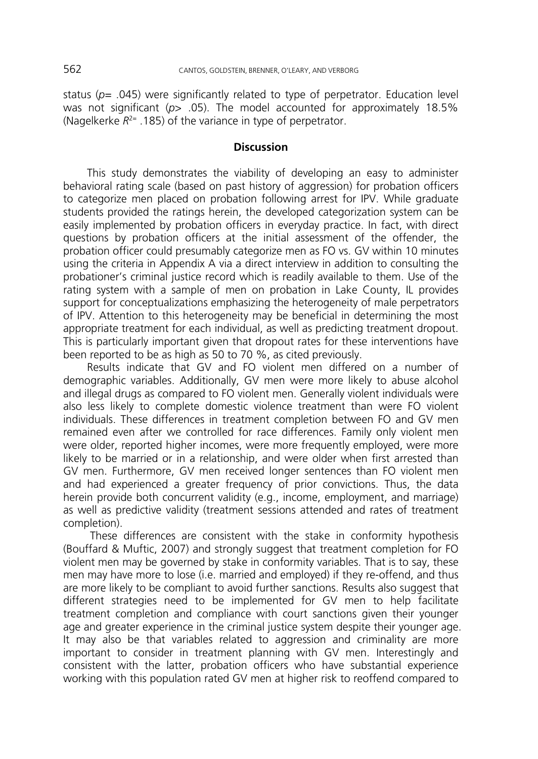status (*p*= .045) were significantly related to type of perpetrator. Education level was not significant (*p*> .05). The model accounted for approximately 18.5% (Nagelkerke  $R^{2=}$  .185) of the variance in type of perpetrator.

### **Discussion**

This study demonstrates the viability of developing an easy to administer behavioral rating scale (based on past history of aggression) for probation officers to categorize men placed on probation following arrest for IPV. While graduate students provided the ratings herein, the developed categorization system can be easily implemented by probation officers in everyday practice. In fact, with direct questions by probation officers at the initial assessment of the offender, the probation officer could presumably categorize men as FO vs. GV within 10 minutes using the criteria in Appendix A via a direct interview in addition to consulting the probationer's criminal justice record which is readily available to them. Use of the rating system with a sample of men on probation in Lake County, IL provides support for conceptualizations emphasizing the heterogeneity of male perpetrators of IPV. Attention to this heterogeneity may be beneficial in determining the most appropriate treatment for each individual, as well as predicting treatment dropout. This is particularly important given that dropout rates for these interventions have been reported to be as high as 50 to 70 %, as cited previously.

Results indicate that GV and FO violent men differed on a number of demographic variables. Additionally, GV men were more likely to abuse alcohol and illegal drugs as compared to FO violent men. Generally violent individuals were also less likely to complete domestic violence treatment than were FO violent individuals. These differences in treatment completion between FO and GV men remained even after we controlled for race differences. Family only violent men were older, reported higher incomes, were more frequently employed, were more likely to be married or in a relationship, and were older when first arrested than GV men. Furthermore, GV men received longer sentences than FO violent men and had experienced a greater frequency of prior convictions. Thus, the data herein provide both concurrent validity (e.g., income, employment, and marriage) as well as predictive validity (treatment sessions attended and rates of treatment completion).

 These differences are consistent with the stake in conformity hypothesis (Bouffard & Muftic, 2007) and strongly suggest that treatment completion for FO violent men may be governed by stake in conformity variables. That is to say, these men may have more to lose (i.e. married and employed) if they re-offend, and thus are more likely to be compliant to avoid further sanctions. Results also suggest that different strategies need to be implemented for GV men to help facilitate treatment completion and compliance with court sanctions given their younger age and greater experience in the criminal justice system despite their younger age. It may also be that variables related to aggression and criminality are more important to consider in treatment planning with GV men. Interestingly and consistent with the latter, probation officers who have substantial experience working with this population rated GV men at higher risk to reoffend compared to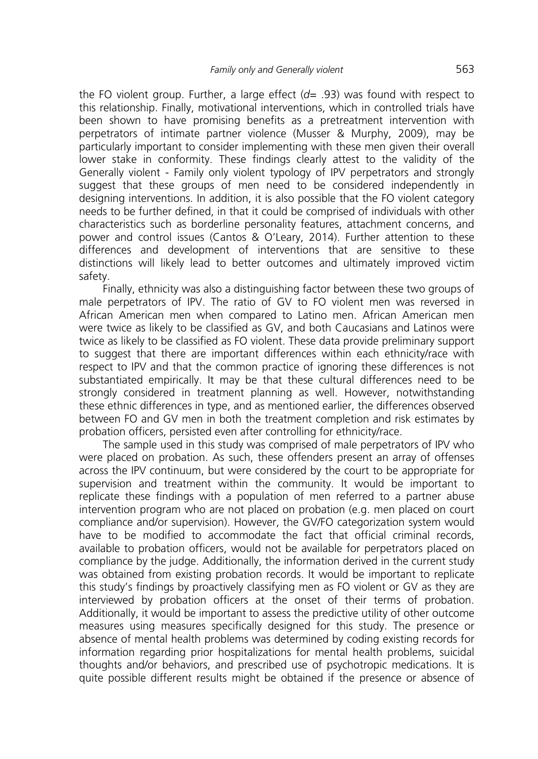the FO violent group. Further, a large effect (*d*= .93) was found with respect to this relationship. Finally, motivational interventions, which in controlled trials have been shown to have promising benefits as a pretreatment intervention with perpetrators of intimate partner violence (Musser & Murphy, 2009), may be particularly important to consider implementing with these men given their overall lower stake in conformity. These findings clearly attest to the validity of the Generally violent - Family only violent typology of IPV perpetrators and strongly suggest that these groups of men need to be considered independently in designing interventions. In addition, it is also possible that the FO violent category needs to be further defined, in that it could be comprised of individuals with other characteristics such as borderline personality features, attachment concerns, and power and control issues (Cantos & O'Leary, 2014). Further attention to these differences and development of interventions that are sensitive to these distinctions will likely lead to better outcomes and ultimately improved victim safety.

Finally, ethnicity was also a distinguishing factor between these two groups of male perpetrators of IPV. The ratio of GV to FO violent men was reversed in African American men when compared to Latino men. African American men were twice as likely to be classified as GV, and both Caucasians and Latinos were twice as likely to be classified as FO violent. These data provide preliminary support to suggest that there are important differences within each ethnicity/race with respect to IPV and that the common practice of ignoring these differences is not substantiated empirically. It may be that these cultural differences need to be strongly considered in treatment planning as well. However, notwithstanding these ethnic differences in type, and as mentioned earlier, the differences observed between FO and GV men in both the treatment completion and risk estimates by probation officers, persisted even after controlling for ethnicity/race.

The sample used in this study was comprised of male perpetrators of IPV who were placed on probation. As such, these offenders present an array of offenses across the IPV continuum, but were considered by the court to be appropriate for supervision and treatment within the community. It would be important to replicate these findings with a population of men referred to a partner abuse intervention program who are not placed on probation (e.g. men placed on court compliance and/or supervision). However, the GV/FO categorization system would have to be modified to accommodate the fact that official criminal records, available to probation officers, would not be available for perpetrators placed on compliance by the judge. Additionally, the information derived in the current study was obtained from existing probation records. It would be important to replicate this study's findings by proactively classifying men as FO violent or GV as they are interviewed by probation officers at the onset of their terms of probation. Additionally, it would be important to assess the predictive utility of other outcome measures using measures specifically designed for this study. The presence or absence of mental health problems was determined by coding existing records for information regarding prior hospitalizations for mental health problems, suicidal thoughts and/or behaviors, and prescribed use of psychotropic medications. It is quite possible different results might be obtained if the presence or absence of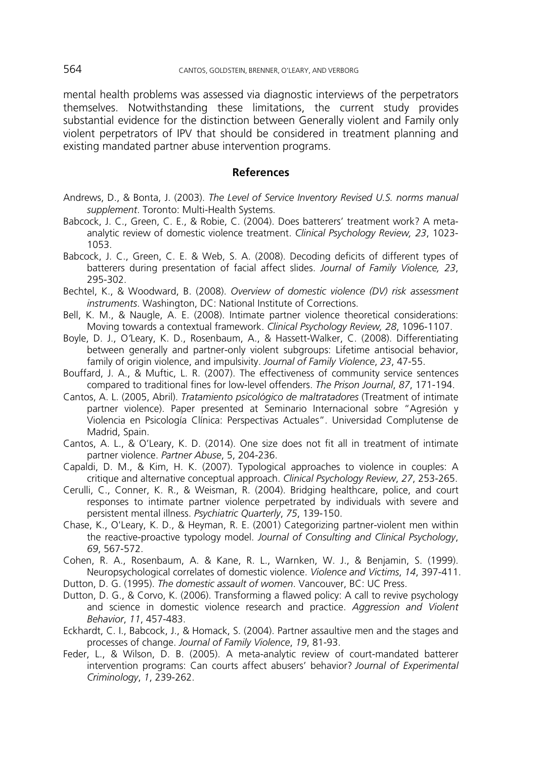mental health problems was assessed via diagnostic interviews of the perpetrators themselves. Notwithstanding these limitations, the current study provides substantial evidence for the distinction between Generally violent and Family only violent perpetrators of IPV that should be considered in treatment planning and existing mandated partner abuse intervention programs.

#### **References**

- Andrews, D., & Bonta, J. (2003). *The Level of Service Inventory Revised U.S. norms manual supplement*. Toronto: Multi-Health Systems.
- Babcock, J. C., Green, C. E., & Robie, C. (2004). Does batterers' treatment work? A metaanalytic review of domestic violence treatment. *Clinical Psychology Review, 23*, 1023- 1053.
- Babcock, J. C., Green, C. E. & Web, S. A. (2008). Decoding deficits of different types of batterers during presentation of facial affect slides. *Journal of Family Violence, 23*, 295-302.
- Bechtel, K., & Woodward, B. (2008). *Overview of domestic violence (DV) risk assessment instruments*. Washington, DC: National Institute of Corrections.
- Bell, K. M., & Naugle, A. E. (2008). Intimate partner violence theoretical considerations: Moving towards a contextual framework. *Clinical Psychology Review, 28*, 1096-1107.
- Boyle, D. J., O*'*Leary, K. D., Rosenbaum, A., & Hassett-Walker, C. (2008). Differentiating between generally and partner-only violent subgroups: Lifetime antisocial behavior, family of origin violence, and impulsivity. *Journal of Family Violence*, *23*, 47-55.
- Bouffard, J. A., & Muftic, L. R. (2007). The effectiveness of community service sentences compared to traditional fines for low-level offenders. *The Prison Journal*, *87*, 171-194.
- Cantos, A. L. (2005, Abril). *Tratamiento psicológico de maltratadores* (Treatment of intimate partner violence). Paper presented at Seminario Internacional sobre "Agresión y Violencia en Psicología Clínica: Perspectivas Actuales". Universidad Complutense de Madrid, Spain.
- Cantos, A. L., & O'Leary, K. D. (2014). One size does not fit all in treatment of intimate partner violence. *Partner Abuse*, 5, 204-236.
- Capaldi, D. M., & Kim, H. K. (2007). Typological approaches to violence in couples: A critique and alternative conceptual approach. *Clinical Psychology Review*, *27*, 253-265.
- Cerulli, C., Conner, K. R., & Weisman, R. (2004). Bridging healthcare, police, and court responses to intimate partner violence perpetrated by individuals with severe and persistent mental illness. *Psychiatric Quarterly*, *75*, 139-150.
- Chase, K., O'Leary, K. D., & Heyman, R. E. (2001) Categorizing partner-violent men within the reactive-proactive typology model. *Journal of Consulting and Clinical Psychology*, *69*, 567-572.
- Cohen, R. A., Rosenbaum, A. & Kane, R. L., Warnken, W. J., & Benjamin, S. (1999). Neuropsychological correlates of domestic violence. *Violence and Victims*, *14*, 397-411.
- Dutton, D. G. (1995). *The domestic assault of women*. Vancouver, BC: UC Press.
- Dutton, D. G., & Corvo, K. (2006). Transforming a flawed policy: A call to revive psychology and science in domestic violence research and practice. *Aggression and Violent Behavior*, *11*, 457-483.
- Eckhardt, C. I., Babcock, J., & Homack, S. (2004). Partner assaultive men and the stages and processes of change. *Journal of Family Violence*, *19*, 81-93.
- Feder, L., & Wilson, D. B. (2005). A meta-analytic review of court-mandated batterer intervention programs: Can courts affect abusers' behavior? *Journal of Experimental Criminology*, *1*, 239-262.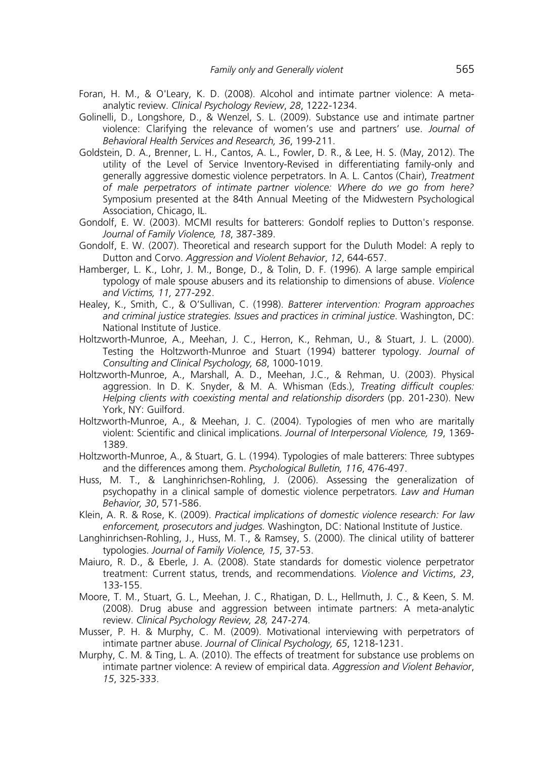- Foran, H. M., & O'Leary, K. D. (2008). Alcohol and intimate partner violence: A metaanalytic review. *Clinical Psychology Review*, *28*, 1222-1234.
- Golinelli, D., Longshore, D., & Wenzel, S. L. (2009). Substance use and intimate partner violence: Clarifying the relevance of women's use and partners' use. *Journal of Behavioral Health Services and Research, 36*, 199-211.
- Goldstein, D. A., Brenner, L. H., Cantos, A. L., Fowler, D. R., & Lee, H. S. (May, 2012). The utility of the Level of Service Inventory-Revised in differentiating family-only and generally aggressive domestic violence perpetrators. In A. L. Cantos (Chair), *Treatment of male perpetrators of intimate partner violence: Where do we go from here?* Symposium presented at the 84th Annual Meeting of the Midwestern Psychological Association, Chicago, IL.
- Gondolf, E. W. (2003). MCMI results for batterers: Gondolf replies to Dutton's response. *Journal of Family Violence, 18*, 387-389.
- Gondolf, E. W. (2007). Theoretical and research support for the Duluth Model: A reply to Dutton and Corvo. *Aggression and Violent Behavior*, *12*, 644-657.
- Hamberger, L. K., Lohr, J. M., Bonge, D., & Tolin, D. F. (1996). A large sample empirical typology of male spouse abusers and its relationship to dimensions of abuse. *Violence and Victims, 11,* 277-292.
- Healey, K., Smith, C., & O'Sullivan, C. (1998). *Batterer intervention: Program approaches and criminal justice strategies. Issues and practices in criminal justice*. Washington, DC: National Institute of Justice.
- Holtzworth-Munroe, A., Meehan, J. C., Herron, K., Rehman, U., & Stuart, J. L. (2000). Testing the Holtzworth-Munroe and Stuart (1994) batterer typology. *Journal of Consulting and Clinical Psychology, 68*, 1000-1019.
- Holtzworth-Munroe, A., Marshall, A. D., Meehan, J.C., & Rehman, U. (2003). Physical aggression. In D. K. Snyder, & M. A. Whisman (Eds.), *Treating difficult couples: Helping clients with coexisting mental and relationship disorders* (pp. 201-230). New York, NY: Guilford.
- Holtzworth-Munroe, A., & Meehan, J. C. (2004). Typologies of men who are maritally violent: Scientific and clinical implications. *Journal of Interpersonal Violence, 19*, 1369- 1389.
- Holtzworth-Munroe, A., & Stuart, G. L. (1994). Typologies of male batterers: Three subtypes and the differences among them. *Psychological Bulletin, 116*, 476-497.
- Huss, M. T., & Langhinrichsen-Rohling, J. (2006). Assessing the generalization of psychopathy in a clinical sample of domestic violence perpetrators. *Law and Human Behavior, 30*, 571-586.
- Klein, A. R. & Rose, K. (2009). *Practical implications of domestic violence research: For law enforcement, prosecutors and judges.* Washington, DC: National Institute of Justice.
- Langhinrichsen-Rohling, J., Huss, M. T., & Ramsey, S. (2000). The clinical utility of batterer typologies. *Journal of Family Violence, 15*, 37-53.
- Maiuro, R. D., & Eberle, J. A. (2008). State standards for domestic violence perpetrator treatment: Current status, trends, and recommendations. *Violence and Victims*, *23*, 133-155.
- Moore, T. M., Stuart, G. L., Meehan, J. C., Rhatigan, D. L., Hellmuth, J. C., & Keen, S. M. (2008). Drug abuse and aggression between intimate partners: A meta-analytic review. *Clinical Psychology Review, 28,* 247-274*.*
- Musser, P. H. & Murphy, C. M. (2009). Motivational interviewing with perpetrators of intimate partner abuse. *Journal of Clinical Psychology, 65*, 1218-1231.
- Murphy, C. M. & Ting, L. A. (2010). The effects of treatment for substance use problems on intimate partner violence: A review of empirical data. *Aggression and Violent Behavior*, *15*, 325-333.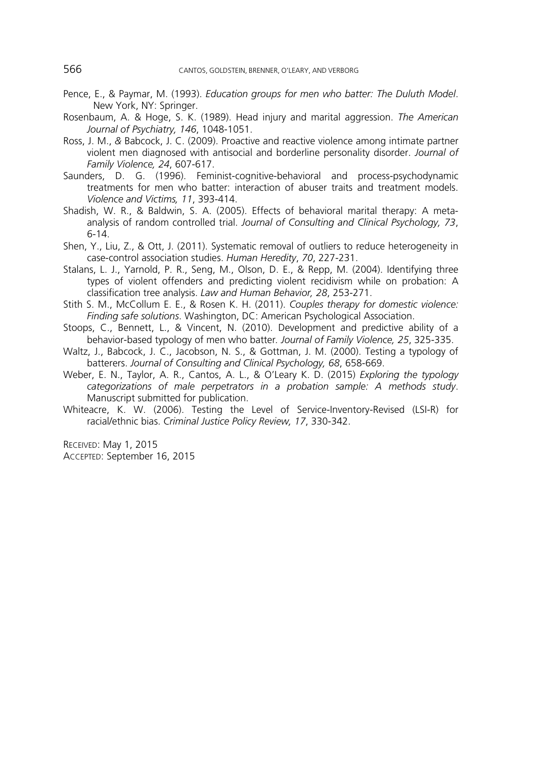- Pence, E., & Paymar, M. (1993). *Education groups for men who batter: The Duluth Model*. New York, NY: Springer.
- Rosenbaum, A. & Hoge, S. K. (1989). Head injury and marital aggression. *The American Journal of Psychiatry, 146*, 1048-1051.
- Ross, J. M., *&* Babcock, J. C. (2009). Proactive and reactive violence among intimate partner violent men diagnosed with antisocial and borderline personality disorder. *Journal of Family Violence, 24*, 607-617.
- Saunders, D. G. (1996). Feminist-cognitive-behavioral and process-psychodynamic treatments for men who batter: interaction of abuser traits and treatment models. *Violence and Victims, 11*, 393-414.
- Shadish, W. R., & Baldwin, S. A. (2005). Effects of behavioral marital therapy: A metaanalysis of random controlled trial. *Journal of Consulting and Clinical Psychology, 73*, 6-14.
- Shen, Y., Liu, Z., & Ott, J. (2011). Systematic removal of outliers to reduce heterogeneity in case-control association studies. *Human Heredity*, *70*, 227-231.
- Stalans, L. J., Yarnold, P. R., Seng, M., Olson, D. E., & Repp, M. (2004). Identifying three types of violent offenders and predicting violent recidivism while on probation: A classification tree analysis. *Law and Human Behavior, 28*, 253-271.
- Stith S. M., McCollum E. E., & Rosen K. H. (2011). *Couples therapy for domestic violence: Finding safe solutions*. Washington, DC: American Psychological Association.
- Stoops, C., Bennett, L., & Vincent, N. (2010). Development and predictive ability of a behavior-based typology of men who batter*. Journal of Family Violence, 25*, 325-335.
- Waltz, J., Babcock, J. C., Jacobson, N. S., & Gottman, J. M. (2000). Testing a typology of batterers. *Journal of Consulting and Clinical Psychology, 68*, 658-669.
- Weber, E. N., Taylor, A. R., Cantos, A. L., & O'Leary K. D. (2015) *Exploring the typology categorizations of male perpetrators in a probation sample: A methods study*. Manuscript submitted for publication.
- Whiteacre, K. W. (2006). Testing the Level of Service-Inventory-Revised (LSI-R) for racial/ethnic bias. *Criminal Justice Policy Review, 17*, 330-342.

RECEIVED: May 1, 2015 ACCEPTED: September 16, 2015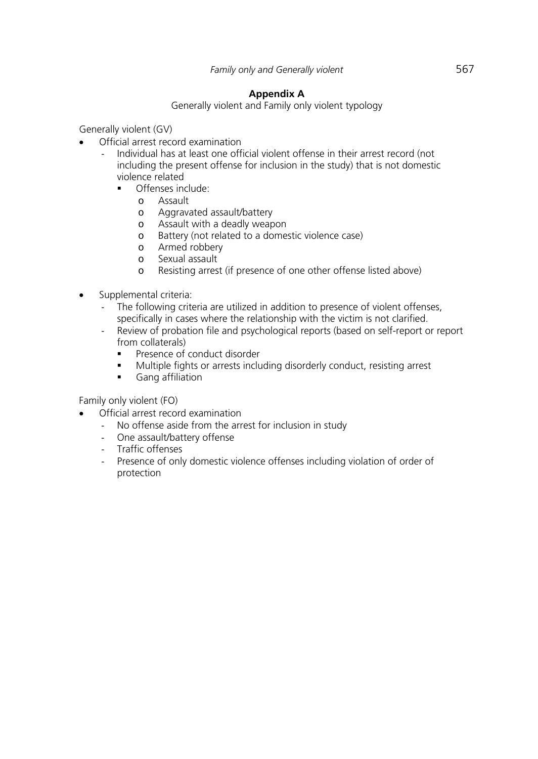# **Appendix A**

Generally violent and Family only violent typology

Generally violent (GV)

- Official arrest record examination
	- ‐ Individual has at least one official violent offense in their arrest record (not including the present offense for inclusion in the study) that is not domestic violence related
		- Offenses include:
			- o Assault
			- o Aggravated assault/battery
			- o Assault with a deadly weapon
			- o Battery (not related to a domestic violence case)
			- o Armed robbery
			- o Sexual assault
			- o Resisting arrest (if presence of one other offense listed above)
- Supplemental criteria:
	- The following criteria are utilized in addition to presence of violent offenses, specifically in cases where the relationship with the victim is not clarified.
	- ‐ Review of probation file and psychological reports (based on self-report or report from collaterals)
		- Presence of conduct disorder
		- Multiple fights or arrests including disorderly conduct, resisting arrest
		- **Gang affiliation**

Family only violent (FO)

- Official arrest record examination
	- ‐ No offense aside from the arrest for inclusion in study
	- ‐ One assault/battery offense
	- ‐ Traffic offenses
	- ‐ Presence of only domestic violence offenses including violation of order of protection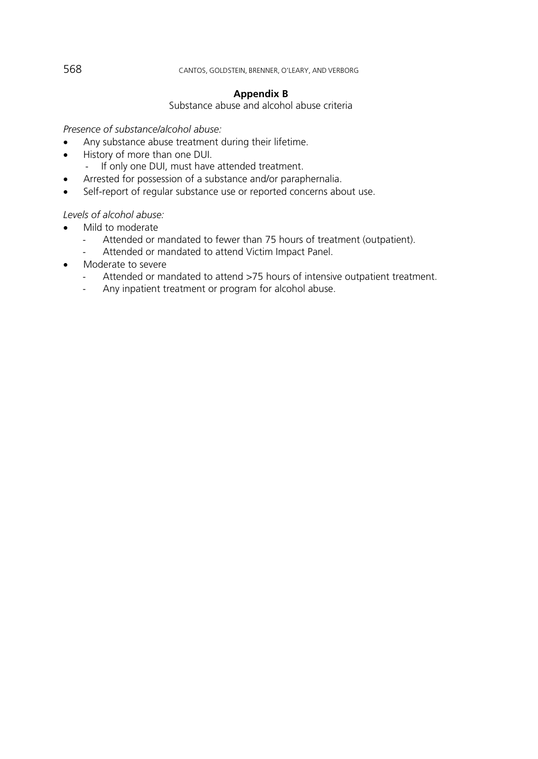## 568 CANTOS, GOLDSTEIN, BRENNER, O'LEARY, AND VERBORG

## **Appendix B**

Substance abuse and alcohol abuse criteria

## *Presence of substance/alcohol abuse:*

- Any substance abuse treatment during their lifetime.
- History of more than one DUI.
	- ‐ If only one DUI, must have attended treatment.
- Arrested for possession of a substance and/or paraphernalia.
- Self-report of regular substance use or reported concerns about use.

# *Levels of alcohol abuse:*

- Mild to moderate
	- ‐ Attended or mandated to fewer than 75 hours of treatment (outpatient).
	- Attended or mandated to attend Victim Impact Panel.
- Moderate to severe
	- Attended or mandated to attend >75 hours of intensive outpatient treatment.
	- ‐ Any inpatient treatment or program for alcohol abuse.